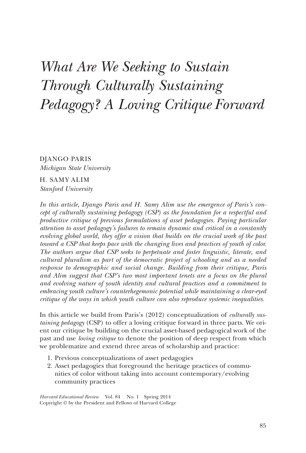# *What Are We Seeking to Sustain Through Culturally Sustaining Pedagogy? A Loving Critique Forward*

DJANGO PARIS *Michigan State University*

H. SAMY ALIM *Stanford University*

*In this article, Django Paris and H. Samy Alim use the emergence of Paris's concept of culturally sustaining pedagogy (CSP) as the foundation for a respectful and productive critique of previous formulations of asset pedagogies. Paying particular attention to asset pedagogy's failures to remain dynamic and critical in a constantly evolving global world, they offer a vision that builds on the crucial work of the past toward a CSP that keeps pace with the changing lives and practices of youth of color. The authors argue that CSP seeks to perpetuate and foster linguistic, literate, and cultural pluralism as part of the democratic project of schooling and as a needed response to demographic and social change. Building from their critique, Paris and Alim suggest that CSP's two most important tenets are a focus on the plural and evolving nature of youth identity and cultural practices and a commitment to embracing youth culture's counterhegemonic potential while maintaining a clear-eyed critique of the ways in which youth culture can also reproduce systemic inequalities.*

In this article we build from Paris's (2012) conceptualization of *culturally sustaining pedagogy* (CSP) to offer a loving critique forward in three parts. We orient our critique by building on the crucial asset-based pedagogical work of the past and use *loving critique* to denote the position of deep respect from which we problematize and extend three areas of scholarship and practice:

- 1. Previous conceptualizations of asset pedagogies
- 2. Asset pedagogies that foreground the heritage practices of communities of color without taking into account contemporary/evolving community practices

*Harvard Educational Review* Vol. 84 No. 1 Spring 2014 Copyright © by the President and Fellows of Harvard College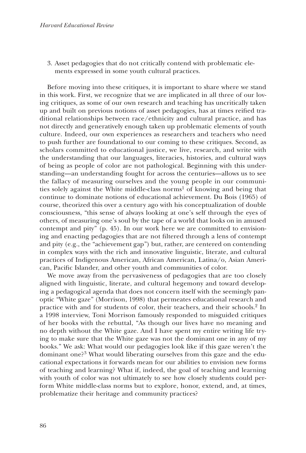3. Asset pedagogies that do not critically contend with problematic elements expressed in some youth cultural practices.

Before moving into these critiques, it is important to share where we stand in this work. First, we recognize that we are implicated in all three of our loving critiques, as some of our own research and teaching has uncritically taken up and built on previous notions of asset pedagogies, has at times reified traditional relationships between race/ethnicity and cultural practice, and has not directly and generatively enough taken up problematic elements of youth culture. Indeed, our own experiences as researchers and teachers who need to push further are foundational to our coming to these critiques. Second, as scholars committed to educational justice, we live, research, and write with the understanding that our languages, literacies, histories, and cultural ways of being as people of color are not pathological. Beginning with this understanding—an understanding fought for across the centuries—allows us to see the fallacy of measuring ourselves and the young people in our communities solely against the White middle-class norms<sup>1</sup> of knowing and being that continue to dominate notions of educational achievement. Du Bois (1965) of course, theorized this over a century ago with his conceptualization of double consciousness, "this sense of always looking at one's self through the eyes of others, of measuring one's soul by the tape of a world that looks on in amused contempt and pity" (p. 45). In our work here we are committed to envisioning and enacting pedagogies that are not filtered through a lens of contempt and pity (e.g., the "achievement gap") but, rather, are centered on contending in complex ways with the rich and innovative linguistic, literate, and cultural practices of Indigenous American, African American, Latina/o, Asian American, Pacific Islander, and other youth and communities of color.

We move away from the pervasiveness of pedagogies that are too closely aligned with linguistic, literate, and cultural hegemony and toward developing a pedagogical agenda that does not concern itself with the seemingly panoptic "White gaze" (Morrison, 1998) that permeates educational research and practice with and for students of color, their teachers, and their schools.2 In a 1998 interview, Toni Morrison famously responded to misguided critiques of her books with the rebuttal, "As though our lives have no meaning and no depth without the White gaze. And I have spent my entire writing life trying to make sure that the White gaze was not the dominant one in any of my books." We ask: What would our pedagogies look like if this gaze weren't the dominant one?3 What would liberating ourselves from this gaze and the educational expectations it forwards mean for our abilities to envision new forms of teaching and learning? What if, indeed, the goal of teaching and learning with youth of color was not ultimately to see how closely students could perform White middle-class norms but to explore, honor, extend, and, at times, problematize their heritage and community practices?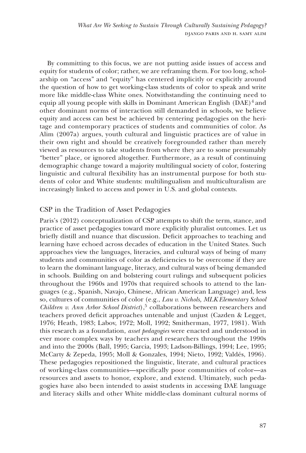By committing to this focus, we are not putting aside issues of access and equity for students of color; rather, we are reframing them. For too long, scholarship on "access" and "equity" has centered implicitly or explicitly around the question of how to get working-class students of color to speak and write more like middle-class White ones. Notwithstanding the continuing need to equip all young people with skills in Dominant American English  $(DAE)^4$  and other dominant norms of interaction still demanded in schools, we believe equity and access can best be achieved by centering pedagogies on the heritage and contemporary practices of students and communities of color. As Alim (2007a) argues, youth cultural and linguistic practices are of value in their own right and should be creatively foregrounded rather than merely viewed as resources to take students from where they are to some presumably "better" place, or ignored altogether. Furthermore, as a result of continuing demographic change toward a majority multilingual society of color, fostering linguistic and cultural flexibility has an instrumental purpose for both students of color and White students: multilingualism and multiculturalism are increasingly linked to access and power in U.S. and global contexts.

# CSP in the Tradition of Asset Pedagogies

Paris's (2012) conceptualization of CSP attempts to shift the term, stance, and practice of asset pedagogies toward more explicitly pluralist outcomes. Let us briefly distill and nuance that discussion. Deficit approaches to teaching and learning have echoed across decades of education in the United States. Such approaches view the languages, literacies, and cultural ways of being of many students and communities of color as deficiencies to be overcome if they are to learn the dominant language, literacy, and cultural ways of being demanded in schools. Building on and bolstering court rulings and subsequent policies throughout the 1960s and 1970s that required schools to attend to the languages (e.g., Spanish, Navajo, Chinese, African American Language) and, less so, cultures of communities of color (e.g., *Lau v. Nichols, MLK Elementary School Children v. Ann Arbor School District*),<sup>5</sup> collaborations between researchers and teachers proved deficit approaches untenable and unjust (Cazden & Legget, 1976; Heath, 1983; Labov, 1972; Moll, 1992; Smitherman, 1977, 1981). With this research as a foundation, *asset pedagogies* were enacted and understood in ever more complex ways by teachers and researchers throughout the 1990s and into the 2000s (Ball, 1995; Garcia, 1993; Ladson-Billings, 1994; Lee, 1995; McCarty & Zepeda, 1995; Moll & Gonzales, 1994; Nieto, 1992; Valdés, 1996). These pedagogies repositioned the linguistic, literate, and cultural practices of working-class communities—specifically poor communities of color—as resources and assets to honor, explore, and extend. Ultimately, such pedagogies have also been intended to assist students in accessing DAE language and literacy skills and other White middle-class dominant cultural norms of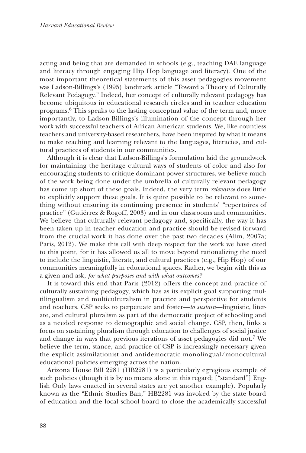acting and being that are demanded in schools (e.g., teaching DAE language and literacy through engaging Hip Hop language and literacy). One of the most important theoretical statements of this asset pedagogies movement was Ladson-Billings's (1995) landmark article "Toward a Theory of Culturally Relevant Pedagogy." Indeed, her concept of culturally relevant pedagogy has become ubiquitous in educational research circles and in teacher education programs.6 This speaks to the lasting conceptual value of the term and, more importantly, to Ladson-Billings's illumination of the concept through her work with successful teachers of African American students. We, like countless teachers and university-based researchers, have been inspired by what it means to make teaching and learning relevant to the languages, literacies, and cultural practices of students in our communities.

Although it is clear that Ladson-Billings's formulation laid the groundwork for maintaining the heritage cultural ways of students of color and also for encouraging students to critique dominant power structures, we believe much of the work being done under the umbrella of culturally relevant pedagogy has come up short of these goals. Indeed, the very term *relevance* does little to explicitly support these goals. It is quite possible to be relevant to something without ensuring its continuing presence in students' "repertoires of practice" (Gutiérrez & Rogoff, 2003) and in our classrooms and communities. We believe that culturally relevant pedagogy and, specifically, the way it has been taken up in teacher education and practice should be revised forward from the crucial work it has done over the past two decades (Alim, 2007a; Paris, 2012). We make this call with deep respect for the work we have cited to this point, for it has allowed us all to move beyond rationalizing the need to include the linguistic, literate, and cultural practices (e.g., Hip Hop) of our communities meaningfully in educational spaces. Rather, we begin with this as a given and ask, *for what purposes and with what outcomes?*

It is toward this end that Paris (2012) offers the concept and practice of culturally sustaining pedagogy, which has as its explicit goal supporting multilingualism and multiculturalism in practice and perspective for students and teachers. CSP seeks to perpetuate and foster—*to sustain*—linguistic, literate, and cultural pluralism as part of the democratic project of schooling and as a needed response to demographic and social change. CSP, then, links a focus on sustaining pluralism through education to challenges of social justice and change in ways that previous iterations of asset pedagogies did not.7 We believe the term, stance, and practice of CSP is increasingly necessary given the explicit assimilationist and antidemocratic monolingual/monocultural educational policies emerging across the nation.

Arizona House Bill 2281 (HB2281) is a particularly egregious example of such policies (though it is by no means alone in this regard; ["standard"] English Only laws enacted in several states are yet another example). Popularly known as the "Ethnic Studies Ban," HB2281 was invoked by the state board of education and the local school board to close the academically successful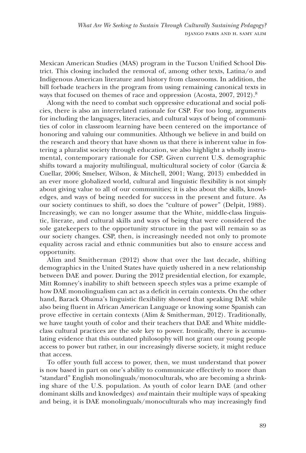Mexican American Studies (MAS) program in the Tucson Unified School District. This closing included the removal of, among other texts, Latina/o and Indigenous American literature and history from classrooms. In addition, the bill forbade teachers in the program from using remaining canonical texts in ways that focused on themes of race and oppression (Acosta, 2007, 2012).8

Along with the need to combat such oppressive educational and social policies, there is also an interrelated rationale for CSP. For too long, arguments for including the languages, literacies, and cultural ways of being of communities of color in classroom learning have been centered on the importance of honoring and valuing our communities. Although we believe in and build on the research and theory that have shown us that there is inherent value in fostering a pluralist society through education, we also highlight a wholly instrumental, contemporary rationale for CSP. Given current U.S. demographic shifts toward a majority multilingual, multicultural society of color (Garcia & Cuellar, 2006; Smelser, Wilson, & Mitchell, 2001; Wang, 2013) embedded in an ever more globalized world, cultural and linguistic flexibility is not simply about giving value to all of our communities; it is also about the skills, knowledges, and ways of being needed for success in the present and future. As our society continues to shift, so does the "culture of power" (Delpit, 1988). Increasingly, we can no longer assume that the White, middle-class linguistic, literate, and cultural skills and ways of being that were considered the sole gatekeepers to the opportunity structure in the past will remain so as our society changes. CSP, then, is increasingly needed not only to promote equality across racial and ethnic communities but also to ensure access and opportunity.

Alim and Smitherman (2012) show that over the last decade, shifting demographics in the United States have quietly ushered in a new relationship between DAE and power. During the 2012 presidential election, for example, Mitt Romney's inability to shift between speech styles was a prime example of how DAE monolingualism can act as a deficit in certain contexts. On the other hand, Barack Obama's linguistic flexibility showed that speaking DAE while also being fluent in African American Language or knowing some Spanish can prove effective in certain contexts (Alim & Smitherman, 2012). Traditionally, we have taught youth of color and their teachers that DAE and White middleclass cultural practices are the sole key to power. Ironically, there is accumulating evidence that this outdated philosophy will not grant our young people access to power but rather, in our increasingly diverse society, it might reduce that access.

To offer youth full access to power, then, we must understand that power is now based in part on one's ability to communicate effectively to more than "standard" English monolinguals/monoculturals, who are becoming a shrinking share of the U.S. population. As youth of color learn DAE (and other dominant skills and knowledges) *and* maintain their multiple ways of speaking and being, it is DAE monolinguals/monoculturals who may increasingly find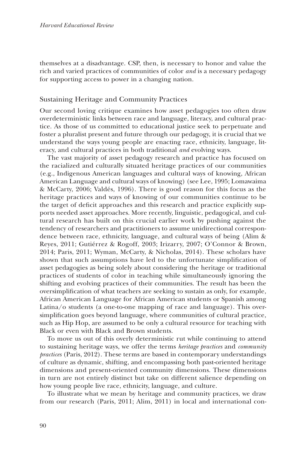themselves at a disadvantage. CSP, then, is necessary to honor and value the rich and varied practices of communities of color *and* is a necessary pedagogy for supporting access to power in a changing nation.

# Sustaining Heritage and Community Practices

Our second loving critique examines how asset pedagogies too often draw overdeterministic links between race and language, literacy, and cultural practice. As those of us committed to educational justice seek to perpetuate and foster a pluralist present and future through our pedagogy, it is crucial that we understand the ways young people are enacting race, ethnicity, language, literacy, and cultural practices in both traditional *and* evolving ways.

The vast majority of asset pedagogy research and practice has focused on the racialized and culturally situated heritage practices of our communities (e.g., Indigenous American languages and cultural ways of knowing, African American Language and cultural ways of knowing) (see Lee, 1995; Lomawaima & McCarty, 2006; Valdés, 1996). There is good reason for this focus as the heritage practices and ways of knowing of our communities continue to be the target of deficit approaches and this research and practice explicitly supports needed asset approaches. More recently, linguistic, pedagogical, and cultural research has built on this crucial earlier work by pushing against the tendency of researchers and practitioners to assume unidirectional correspondence between race, ethnicity, language, and cultural ways of being (Alim & Reyes, 2011; Gutiérrez & Rogoff, 2003; Irizarry, 2007; O'Connor & Brown, 2014; Paris, 2011; Wyman, McCarty, & Nicholas, 2014). These scholars have shown that such assumptions have led to the unfortunate simplification of asset pedagogies as being solely about considering the heritage or traditional practices of students of color in teaching while simultaneously ignoring the shifting and evolving practices of their communities. The result has been the oversimplification of what teachers are seeking to sustain as only, for example, African American Language for African American students or Spanish among Latina/o students (a one-to-one mapping of race and language). This oversimplification goes beyond language, where communities of cultural practice, such as Hip Hop, are assumed to be only a cultural resource for teaching with Black or even with Black and Brown students.

To move us out of this overly deterministic rut while continuing to attend to sustaining heritage ways, we offer the terms *heritage practices* and *community practices* (Paris, 2012). These terms are based in contemporary understandings of culture as dynamic, shifting, and encompassing both past-oriented heritage dimensions and present-oriented community dimensions. These dimensions in turn are not entirely distinct but take on different salience depending on how young people live race, ethnicity, language, and culture.

To illustrate what we mean by heritage and community practices, we draw from our research (Paris, 2011; Alim, 2011) in local and international con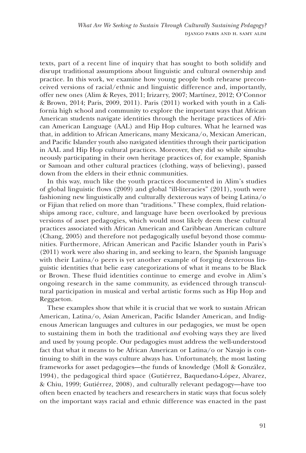texts, part of a recent line of inquiry that has sought to both solidify and disrupt traditional assumptions about linguistic and cultural ownership and practice. In this work, we examine how young people both rehearse preconceived versions of racial/ethnic and linguistic difference and, importantly, offer new ones (Alim & Reyes, 2011; Irizarry, 2007; Martínez, 2012; O'Connor & Brown, 2014; Paris, 2009, 2011). Paris (2011) worked with youth in a California high school and community to explore the important ways that African American students navigate identities through the heritage practices of African American Language (AAL) and Hip Hop cultures. What he learned was that, in addition to African Americans, many Mexicana/o, Mexican American, and Pacific Islander youth also navigated identities through their participation in AAL and Hip Hop cultural practices. Moreover, they did so while simultaneously participating in their own heritage practices of, for example, Spanish or Samoan and other cultural practices (clothing, ways of believing), passed down from the elders in their ethnic communities.

In this way, much like the youth practices documented in Alim's studies of global linguistic flows (2009) and global "ill-literacies" (2011), youth were fashioning new linguistically and culturally dexterous ways of being Latina/o or Fijian that relied on more than "traditions." These complex, fluid relationships among race, culture, and language have been overlooked by previous versions of asset pedagogies, which would most likely deem these cultural practices associated with African American and Caribbean American culture (Chang, 2005) and therefore not pedagogically useful beyond those communities. Furthermore, African American and Pacific Islander youth in Paris's (2011) work were also sharing in, and seeking to learn, the Spanish language with their Latina/o peers is yet another example of forging dexterous linguistic identities that belie easy categorizations of what it means to be Black or Brown. These fluid identities continue to emerge and evolve in Alim's ongoing research in the same community, as evidenced through transcultural participation in musical and verbal artistic forms such as Hip Hop and Reggaeton.

These examples show that while it is crucial that we work to sustain African American, Latina/o, Asian American, Pacific Islander American, and Indigenous American languages and cultures in our pedagogies, we must be open to sustaining them in both the traditional *and* evolving ways they are lived and used by young people. Our pedagogies must address the well-understood fact that what it means to be African American or Latina/o or Navajo is continuing to shift in the ways culture always has. Unfortunately, the most lasting frameworks for asset pedagogies—the funds of knowledge (Moll & González, 1994), the pedagogical third space (Gutiérrez, Baquedano-López, Alvarez, & Chiu, 1999; Gutiérrez, 2008), and culturally relevant pedagogy—have too often been enacted by teachers and researchers in static ways that focus solely on the important ways racial and ethnic difference was enacted in the past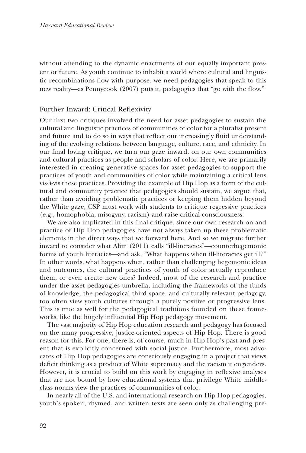without attending to the dynamic enactments of our equally important present or future. As youth continue to inhabit a world where cultural and linguistic recombinations flow with purpose, we need pedagogies that speak to this new reality—as Pennycook (2007) puts it, pedagogies that "go with the flow."

# Further Inward: Critical Reflexivity

Our first two critiques involved the need for asset pedagogies to sustain the cultural and linguistic practices of communities of color for a pluralist present and future and to do so in ways that reflect our increasingly fluid understanding of the evolving relations between language, culture, race, and ethnicity. In our final loving critique, we turn our gaze inward, on our own communities and cultural practices as people and scholars of color. Here, we are primarily interested in creating generative spaces for asset pedagogies to support the practices of youth and communities of color while maintaining a critical lens vis-à-vis these practices. Providing the example of Hip Hop as a form of the cultural and community practice that pedagogies should sustain, we argue that, rather than avoiding problematic practices or keeping them hidden beyond the White gaze, CSP must work with students to critique regressive practices (e.g., homophobia, misogyny, racism) and raise critical consciousness.

We are also implicated in this final critique, since our own research on and practice of Hip Hop pedagogies have not always taken up these problematic elements in the direct ways that we forward here. And so we migrate further inward to consider what Alim (2011) calls "ill-literacies"—counterhegemonic forms of youth literacies—and ask, "What happens when ill-literacies get ill?" In other words, what happens when, rather than challenging hegemonic ideas and outcomes, the cultural practices of youth of color actually reproduce them, or even create new ones? Indeed, most of the research and practice under the asset pedagogies umbrella, including the frameworks of the funds of knowledge*,* the pedagogical third space, and culturally relevant pedagogy, too often view youth cultures through a purely positive or progressive lens. This is true as well for the pedagogical traditions founded on these frameworks, like the hugely influential Hip Hop pedagogy movement.

The vast majority of Hip Hop education research and pedagogy has focused on the many progressive, justice-oriented aspects of Hip Hop. There is good reason for this. For one, there is, of course, much in Hip Hop's past and present that is explicitly concerned with social justice. Furthermore, most advocates of Hip Hop pedagogies are consciously engaging in a project that views deficit thinking as a product of White supremacy and the racism it engenders. However, it is crucial to build on this work by engaging in reflexive analyses that are not bound by how educational systems that privilege White middleclass norms view the practices of communities of color.

In nearly all of the U.S. and international research on Hip Hop pedagogies, youth's spoken, rhymed, and written texts are seen only as challenging pre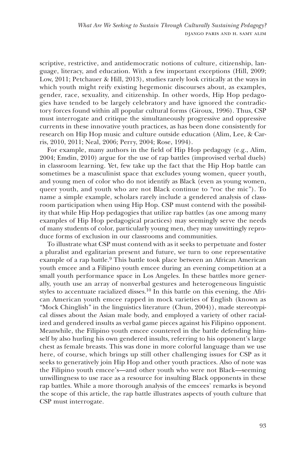scriptive, restrictive, and antidemocratic notions of culture, citizenship, language, literacy, and education. With a few important exceptions (Hill, 2009; Low, 2011; Petchauer & Hill, 2013), studies rarely look critically at the ways in which youth might reify existing hegemonic discourses about, as examples, gender, race, sexuality, and citizenship. In other words, Hip Hop pedagogies have tended to be largely celebratory and have ignored the contradictory forces found within all popular cultural forms (Giroux, 1996). Thus, CSP must interrogate and critique the simultaneously progressive and oppressive currents in these innovative youth practices, as has been done consistently for research on Hip Hop music and culture outside education (Alim, Lee, & Carris, 2010, 2011; Neal, 2006; Perry, 2004; Rose, 1994).

For example, many authors in the field of Hip Hop pedagogy (e.g., Alim, 2004; Emdin, 2010) argue for the use of rap battles (improvised verbal duels) in classroom learning. Yet, few take up the fact that the Hip Hop battle can sometimes be a masculinist space that excludes young women, queer youth, and young men of color who do not identify as Black (even as young women, queer youth, and youth who are not Black continue to "roc the mic"). To name a simple example, scholars rarely include a gendered analysis of classroom participation when using Hip Hop. CSP must contend with the possibility that while Hip Hop pedagogies that utilize rap battles (as one among many examples of Hip Hop pedagogical practices) may seemingly serve the needs of many students of color, particularly young men, they may unwittingly reproduce forms of exclusion in our classrooms and communities.

To illustrate what CSP must contend with as it seeks to perpetuate and foster a pluralist and egalitarian present and future, we turn to one representative example of a rap battle.<sup>9</sup> This battle took place between an African American youth emcee and a Filipino youth emcee during an evening competition at a small youth performance space in Los Angeles. In these battles more generally, youth use an array of nonverbal gestures and heterogeneous linguistic styles to accentuate racialized disses.<sup>10</sup> In this battle on this evening, the African American youth emcee rapped in mock varieties of English (known as "Mock Chinglish" in the linguistics literature (Chun, 2004)), made stereotypical disses about the Asian male body, and employed a variety of other racialized and gendered insults as verbal game pieces against his Filipino opponent. Meanwhile, the Filipino youth emcee countered in the battle defending himself by also hurling his own gendered insults, referring to his opponent's large chest as female breasts. This was done in more colorful language than we use here, of course, which brings up still other challenging issues for CSP as it seeks to generatively join Hip Hop and other youth practices. Also of note was the Filipino youth emcee's—and other youth who were not Black—seeming unwillingness to use race as a resource for insulting Black opponents in these rap battles. While a more thorough analysis of the emcees' remarks is beyond the scope of this article, the rap battle illustrates aspects of youth culture that CSP must interrogate.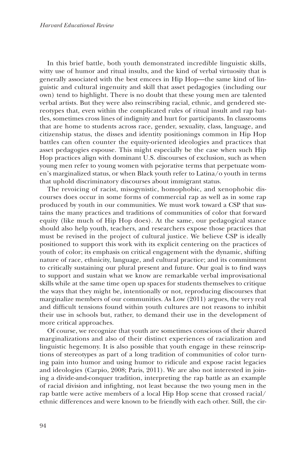In this brief battle, both youth demonstrated incredible linguistic skills, witty use of humor and ritual insults, and the kind of verbal virtuosity that is generally associated with the best emcees in Hip Hop—the same kind of linguistic and cultural ingenuity and skill that asset pedagogies (including our own) tend to highlight. There is no doubt that these young men are talented verbal artists. But they were also reinscribing racial, ethnic, and gendered stereotypes that, even within the complicated rules of ritual insult and rap battles, sometimes cross lines of indignity and hurt for participants. In classrooms that are home to students across race, gender, sexuality, class, language, and citizenship status, the disses and identity positionings common in Hip Hop battles can often counter the equity-oriented ideologies and practices that asset pedagogies espouse. This might especially be the case when such Hip Hop practices align with dominant U.S. discourses of exclusion, such as when young men refer to young women with pejorative terms that perpetuate women's marginalized status, or when Black youth refer to Latina/o youth in terms that uphold discriminatory discourses about immigrant status.

The revoicing of racist, misogynistic, homophobic, and xenophobic discourses does occur in some forms of commercial rap as well as in some rap produced by youth in our communities. We must work toward a CSP that sustains the many practices and traditions of communities of color that forward equity (like much of Hip Hop does). At the same, our pedagogical stance should also help youth, teachers, and researchers expose those practices that must be revised in the project of cultural justice. We believe CSP is ideally positioned to support this work with its explicit centering on the practices of youth of color; its emphasis on critical engagement with the dynamic, shifting nature of race, ethnicity, language, and cultural practice; and its commitment to critically sustaining our plural present and future. Our goal is to find ways to support and sustain what we know are remarkable verbal improvisational skills while at the same time open up spaces for students themselves to critique the ways that they might be, intentionally or not, reproducing discourses that marginalize members of our communities. As Low (2011) argues, the very real and difficult tensions found within youth cultures are not reasons to inhibit their use in schools but, rather, to demand their use in the development of more critical approaches.

Of course, we recognize that youth are sometimes conscious of their shared marginalizations and also of their distinct experiences of racialization and linguistic hegemony. It is also possible that youth engage in these reinscriptions of stereotypes as part of a long tradition of communities of color turning pain into humor and using humor to ridicule and expose racist legacies and ideologies (Carpio, 2008; Paris, 2011). We are also not interested in joining a divide-and-conquer tradition, interpreting the rap battle as an example of racial division and infighting, not least because the two young men in the rap battle were active members of a local Hip Hop scene that crossed racial/ ethnic differences and were known to be friendly with each other. Still, the cir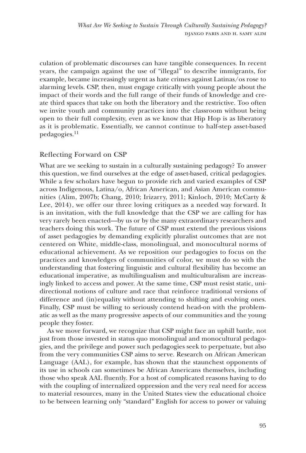culation of problematic discourses can have tangible consequences. In recent years, the campaign against the use of "illegal" to describe immigrants, for example, became increasingly urgent as hate crimes against Latinas/os rose to alarming levels. CSP, then, must engage critically with young people about the impact of their words and the full range of their funds of knowledge and create third spaces that take on both the liberatory and the restrictive. Too often we invite youth and community practices into the classroom without being open to their full complexity, even as we know that Hip Hop is as liberatory as it is problematic. Essentially, we cannot continue to half-step asset-based pedagogies.11

# Reflecting Forward on CSP

What are we seeking to sustain in a culturally sustaining pedagogy? To answer this question, we find ourselves at the edge of asset-based, critical pedagogies. While a few scholars have begun to provide rich and varied examples of CSP across Indigenous, Latina/o, African American, and Asian American communities (Alim, 2007b; Chang, 2010; Irizarry, 2011; Kinloch, 2010; McCarty & Lee, 2014), we offer our three loving critiques as a needed way forward. It is an invitation, with the full knowledge that the CSP we are calling for has very rarely been enacted—by us or by the many extraordinary researchers and teachers doing this work. The future of CSP must extend the previous visions of asset pedagogies by demanding explicitly pluralist outcomes that are not centered on White, middle-class, monolingual, and monocultural norms of educational achievement. As we reposition our pedagogies to focus on the practices and knowledges of communities of color, we must do so with the understanding that fostering linguistic and cultural flexibility has become an educational imperative, as multilingualism and multiculturalism are increasingly linked to access and power. At the same time, CSP must resist static, unidirectional notions of culture and race that reinforce traditional versions of difference and (in)equality without attending to shifting and evolving ones. Finally, CSP must be willing to seriously contend head-on with the problematic as well as the many progressive aspects of our communities and the young people they foster.

As we move forward, we recognize that CSP might face an uphill battle, not just from those invested in status quo monolingual and monocultural pedagogies, and the privilege and power such pedagogies seek to perpetuate, but also from the very communities CSP aims to serve. Research on African American Language (AAL), for example, has shown that the staunchest opponents of its use in schools can sometimes be African Americans themselves, including those who speak AAL fluently. For a host of complicated reasons having to do with the coupling of internalized oppression and the very real need for access to material resources, many in the United States view the educational choice to be between learning only "standard" English for access to power or valuing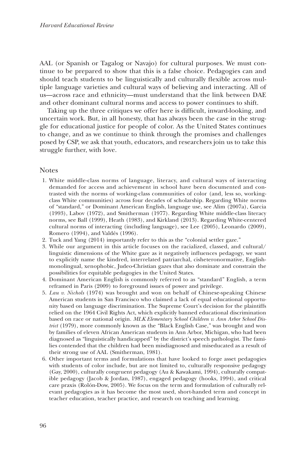AAL (or Spanish or Tagalog or Navajo) for cultural purposes. We must continue to be prepared to show that this is a false choice. Pedagogies can and should teach students to be linguistically and culturally flexible across multiple language varieties and cultural ways of believing and interacting. All of us—across race and ethnicity—must understand that the link between DAE and other dominant cultural norms and access to power continues to shift.

Taking up the three critiques we offer here is difficult, inward-looking, and uncertain work. But, in all honesty, that has always been the case in the struggle for educational justice for people of color. As the United States continues to change, and as we continue to think through the promises and challenges posed by CSP, we ask that youth, educators, and researchers join us to take this struggle further, with love.

# Notes

- 1. White middle-class norms of language, literacy, and cultural ways of interacting demanded for access and achievement in school have been documented and contrasted with the norms of working-class communities of color (and, less so, workingclass White communities) across four decades of scholarship. Regarding White norms of "standard," or Dominant American English, language use, see Alim (2007a), Garcia (1993), Labov (1972), and Smitherman (1977). Regarding White middle-class literacy norms, see Ball (1999), Heath (1983), and Kirkland (2013). Regarding White-centered cultural norms of interacting (including language), see Lee (2005), Leonardo (2009), Romero (1994), and Valdés (1996).
- 2. Tuck and Yang (2014) importantly refer to this as the "colonial settler gaze."
- 3. While our argument in this article focuses on the racialized, classed, and cultural/ linguistic dimensions of the White gaze as it negatively influences pedagogy, we want to explicitly name the kindred, interrelated patriarchal, cisheteronormative, Englishmonolingual, xenophobic, Judeo-Christian gazes that also dominate and constrain the possibilities for equitable pedagogies in the United States.
- 4. Dominant American English is commonly referred to as "standard" English, a term reframed in Paris (2009) to foreground issues of power and privilege.
- 5. *Lau v. Nichols* (1974) was brought and won on behalf of Chinese-speaking Chinese American students in San Francisco who claimed a lack of equal educational opportunity based on language discrimination. The Supreme Court's decision for the plaintiffs relied on the 1964 Civil Rights Act, which explicitly banned educational discrimination based on race or national origin. *MLK Elementary School Children v. Ann Arbor School District* (1979), more commonly known as the "Black English Case," was brought and won by families of eleven African American students in Ann Arbor, Michigan, who had been diagnosed as "linguistically handicapped" by the district's speech pathologist. The families contended that the children had been misdiagnosed and miseducated as a result of their strong use of AAL (Smitherman, 1981).
- 6. Other important terms and formulations that have looked to forge asset pedagogies with students of color include, but are not limited to, culturally responsive pedagogy (Gay, 2000), culturally congruent pedagogy (Au & Kawakami, 1994), culturally compatible pedagogy (Jacob & Jordan, 1987), engaged pedagogy (hooks, 1994), and critical care praxis (Rolón-Dow, 2005). We focus on the term and formulation of culturally relevant pedagogies as it has become the most used, short-handed term and concept in teacher education, teacher practice, and research on teaching and learning.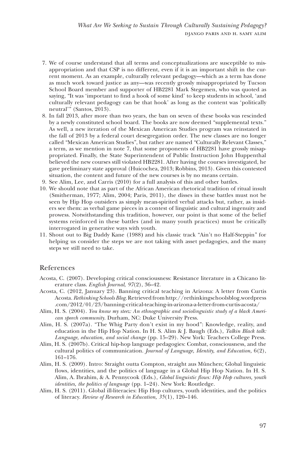- 7. We of course understand that all terms and conceptualizations are susceptible to misappropriation and that CSP is no different, even if it is an important shift in the current moment. As an example, culturally relevant pedagogy—which as a term has done as much work toward justice as any—was recently grossly misappropriated by Tucson School Board member and supporter of HB2281 Mark Stegemen, who was quoted as saying, "It was 'important to find a hook of some kind' to keep students in school, 'and culturally relevant pedagogy can be that hook' as long as the content was 'politically neutral'" (Santos, 2013).
- 8. In fall 2013, after more than two years, the ban on seven of these books was rescinded by a newly constituted school board. The books are now deemed "supplemental texts." As well, a new iteration of the Mexican American Studies program was reinstated in the fall of 2013 by a federal court desegregation order. The new classes are no longer called "Mexican American Studies", but rather are named "Culturally Relevant Classes," a term, as we mention in note 7, that some proponents of HB2281 have grossly misappropriated. Finally, the State Superintendent of Public Instruction John Huppenthal believed the new courses still violated HB2281. After having the courses investigated, he gave preliminary state approval (Huicochea, 2013; Robbins, 2013). Given this contested situation, the content and future of the new courses is by no means certain.
- 9. See Alim, Lee, and Carris (2010) for a full analysis of this and other battles.
- 10. We should note that as part of the African American rhetorical tradition of ritual insult (Smitherman, 1977; Alim, 2004; Paris, 2011), the disses in these battles must not be seen by Hip Hop outsiders as simply mean-spirited verbal attacks but, rather, as insiders see them: as verbal game pieces in a contest of linguistic and cultural ingenuity and prowess. Notwithstanding this tradition, however, our point is that some of the belief systems reinforced in these battles (and in many youth practices) must be critically interrogated in generative ways with youth.
- 11. Shout out to Big Daddy Kane (1988**)** and his classic track "Ain't no Half-Steppin" for helping us consider the steps we are not taking with asset pedagogies, and the many steps we still need to take.

### References

- Acosta, C. (2007). Developing critical consciousness: Resistance literature in a Chicano literature class. *English Journal*, *97*(2), 36–42.
- Acosta, C. (2012, January 23). Banning critical teaching in Arizona: A letter from Curtis Acosta. *Rethinking Schools Blog*. Retrieved from http://rethinkingschoolsblog.wordpress .com/2012/01/23/banning-critical-teaching-in-arizona-a-letter-from-curtis-acosta/
- Alim, H. S. (2004). *You know my steez: An ethnographic and sociolinguistic study of a black American speech community*. Durham, NC: Duke University Press.
- Alim, H. S. (2007a). "The Whig Party don't exist in my hood": Knowledge, reality, and education in the Hip Hop Nation. In H. S. Alim & J. Baugh (Eds.), *Talkin Black talk: Language, education, and social change* (pp. 15–29). New York: Teachers College Press.
- Alim, H. S. (2007b). Critical hip-hop language pedagogies: Combat, consciousness, and the cultural politics of communication. *Journal of Language, Identity, and Education,* 6(2), 161–176.
- Alim, H. S. (2009). Intro: Straight outta Compton, straight aus München; Global linguistic flows, identities, and the politics of language in a Global Hip Hop Nation. In H. S. Alim, A. Ibrahim, & A. Pennycook (Eds.), *Global linguistic flows: Hip Hop cultures, youth identities, the politics of language* (pp. 1–24). New York: Routledge.
- Alim, H. S. (2011). Global ill-literacies: Hip Hop cultures, youth identities, and the politics of literacy. *Review of Research in Education, 35*(1), 120–146.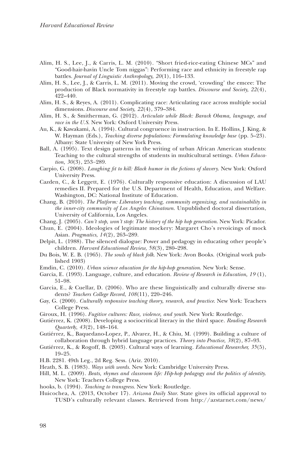- Alim, H. S., Lee, J., & Carris, L. M. (2010). "Short fried-rice-eating Chinese MCs" and "Good-hair-havin Uncle Tom niggas": Performing race and ethnicity in freestyle rap battles. *Journal of Linguistic Anthropology, 20*(1), 116–133.
- Alim, H. S., Lee, J., & Carris, L. M. (2011). Moving the crowd, 'crowding' the emcee: The production of Black normativity in freestyle rap battles. *Discourse and Society, 22*(4), 422–440.
- Alim, H. S., & Reyes, A. (2011). Complicating race: Articulating race across multiple social dimensions. *Discourse and Society, 22*(4), 379–384.
- Alim, H. S., & Smitherman, G. (2012). *Articulate while Black: Barack Obama, language, and race in the U.S.* New York: Oxford University Press.
- Au, K., & Kawakami, A. (1994). Cultural congruence in instruction. In E. Hollins, J. King, & W. Hayman (Eds.), *Teaching diverse populations: Formulating knowledge base* (pp. 5–23). Albany: State University of New York Press.
- Ball, A. (1995). Text design patterns in the writing of urban African American students: Teaching to the cultural strengths of students in multicultural settings. *Urban Education, 30*(3), 253−289.
- Carpio, G. (2008). *Laughing fit to kill: Black humor in the fictions of slavery*. New York: Oxford University Press.
- Cazden, C., & Leggett, E. (1976). Culturally responsive education: A discussion of LAU remedies II. Prepared for the U.S. Department of Health, Education, and Welfare. Washington, DC: National Institute of Education.
- Chang, B. (2010). *The Platform: Liberatory teaching, community organizing, and sustainability in the inner-city community of Los Angeles Chinatown*. Unpublished doctoral dissertation, University of California, Los Angeles.
- Chang, J. (2005). *Can't stop, won't stop: The history of the hip hop generation*. New York: Picador.
- Chun, E. (2004). Ideologies of legitimate mockery: Margaret Cho's revoicings of mock Asian. *Pragmatics*, *14*(2), 263–289.
- Delpit, L. (1988). The silenced dialogue: Power and pedagogy in educating other people's children. *Harvard Educational Review*, *58*(3), 280–298.
- Du Bois, W. E. B. (1965). *The souls of black folk*. New York: Avon Books. (Original work published 1903)
- Emdin, C. (2010). *Urban science education for the hip-hop generation*. New York: Sense.
- Garcia, E. (1993). Language, culture, and education. *Review of Research in Education, 19* (1), 51–98.
- Garcia, E., & Cuellar, D. (2006). Who are these linguistically and culturally diverse students? *Teachers College Record*, *108*(11), 220–246.
- Gay, G. (2000). *Culturally responsive teaching theory, research, and practice*. New York: Teachers College Press.
- Giroux, H. (1996). *Fugitive cultures: Race, violence, and youth*. New York: Routledge.
- Gutiérrez, K. (2008). Developing a sociocritical literacy in the third space. *Reading Research Quarterl*y, *43*(2), 148–164.
- Gutiérrez, K., Baquedano-Lopez, P., Alvarez, H., & Chiu, M. (1999). Building a culture of collaboration through hybrid language practices. *Theory into Practice, 38*(2)*,* 87–93.
- Gutiérrez, K., & Rogoff, B. (2003). Cultural ways of learning. *Educational Researcher, 35*(5), 19–25.
- H.B. 2281. 49th Leg., 2d Reg. Sess. (Ariz. 2010).
- Heath, S. B. (1983). *Ways with words.* New York: Cambridge University Press.
- Hill, M. L. (2009). *Beats, rhymes and classroom life: Hip-hop pedagogy and the politics of identity*. New York: Teachers College Press.
- hooks, b. (1994). *Teaching to transgress*. New York: Routledge.
- Huicochea, A. (2013, October 17). *Arizona Daily Star*. State gives its official approval to TUSD's culturally relevant classes. Retrieved from http://azstarnet.com/news/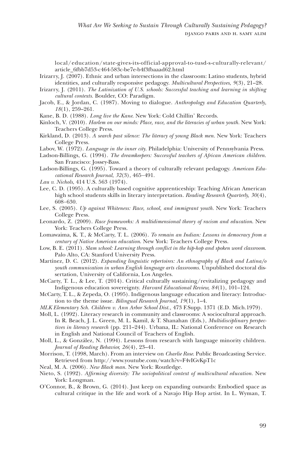local/education/state-gives-its-official-approval-to-tusd-s-culturally-relevant/ article\_6fbb7d53-c464-583c-be7e-b4f3fbaaad62.html

- Irizarry, J. (2007). Ethnic and urban intersections in the classroom: Latino students, hybrid identities, and culturally responsive pedagogy. *Multicultural Perspectives*, *9*(3), 21–28.
- Irizarry, J. (2011). *The Latinization of U.S. schools: Successful teaching and learning in shifting cultural contexts.* Boulder, CO: Paradigm.
- Jacob, E., & Jordan, C. (1987). Moving to dialogue. *Anthropology and Education Quarterly*, *18*(1), 259–261.
- Kane, B. D. (1988). *Long live the Kane*. New York: Cold Chillin' Records.
- Kinloch, V. (2010). *Harlem on our minds: Place, race, and the literacies of urban youth.* New York: Teachers College Press.
- Kirkland, D. (2013). *A search past silence: The literacy of young Black men.* New York: Teachers College Press.
- Labov, W. (1972). *Language in the inner city*. Philadelphia: University of Pennsylvania Press.
- Ladson-Billings, G. (1994). *The dreamkeepers: Successful teachers of African American children*. San Francisco: Jossey-Bass.
- Ladson-Billings, G. (1995). Toward a theory of culturally relevant pedagogy. *American Educational Research Journal*, *32*(3), 465−491.
- *Lau v. Nichols*, 414 U.S. 563 (1974).
- Lee, C. D. (1995). A culturally based cognitive apprenticeship: Teaching African American high school students skills in literary interpretation. *Reading Research Quarterly, 30*(4), 608−630.
- Lee, S. (2005). *Up against Whiteness: Race, school, and immigrant youth.* New York: Teachers College Press.
- Leonardo, Z. (2009). *Race frameworks: A multidimensional theory of racism and education*. New York: Teachers College Press.
- Lomawaima, K. T., & McCarty, T. L. (2006). *To remain an Indian: Lessons in democracy from a century of Native American education*. New York: Teachers College Press.
- Low, B. E. (2011). *Slam school: Learning through conflict in the hip-hop and spoken word classroom*. Palo Alto, CA: Stanford University Press.
- Martínez, D. C. (2012). *Expanding linguistic repertoires: An ethnography of Black and Latina/o youth communication in urban English language arts classrooms.* Unpublished doctoral dissertation, University of California, Los Angeles.
- McCarty, T. L., & Lee, T. (2014). Critical culturally sustaining/revitalizing pedagogy and Indigenous education sovereignty. *Harvard Educational Review, 84*(1), 101–124.
- McCarty, T. L., & Zepeda, O. (1995). Indigenous language education and literacy: Introduction to the theme issue. *Bilingual Research Journal, 19*(1), 1–4.
- *MLK Elementary Sch. Children v. Ann Arbor School Dist.,* 473 F.Supp. 1371 (E.D. Mich.1979).
- Moll, L. (1992). Literacy research in community and classrooms: A sociocultural approach. In R. Beach, J. L. Green, M. L. Kamil, & T. Shanahan (Eds.), *Multidisciplinary perspectives in literacy research* (pp. 211–244). Urbana, IL: National Conference on Research in English and National Council of Teachers of English.
- Moll, L., & González, N. (1994). Lessons from research with language minority children. *Journal of Reading Behavior, 26*(4), 23–41.
- Morrison, T. (1998, March). From an interview on *Charlie Rose*. Public Broadcasting Service. Retrieved from http://www.youtube.com/watch?v=F4vIGvKpT1c
- Neal, M. A. (2006). *New Black man.* New York: Routledge.
- Nieto, S. (1992). *Affirming diversity: The sociopolitical context of multicultural education.* New York: Longman.
- O'Connor, B., & Brown, G. (2014). Just keep on expanding outwards: Embodied space as cultural critique in the life and work of a Navajo Hip Hop artist. In L. Wyman, T.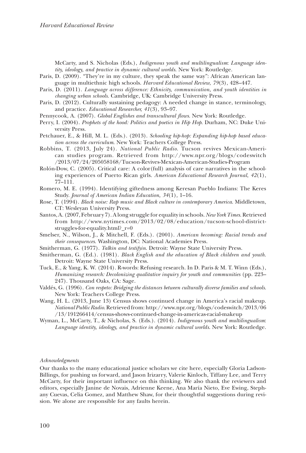McCarty, and S. Nicholas (Eds.), *Indigenous youth and multilingualism*: *Language identity, ideology, and practice in dynamic cultural worlds*. New York: Routledge.

- Paris, D. (2009). "They're in my culture, they speak the same way": African American language in multiethnic high schools. *Harvard Educational Review*, *79*(3), 428–447.
- Paris, D. (2011). *Language across difference: Ethnicity, communication, and youth identities in changing urban schools*. Cambridge, UK: Cambridge University Press.
- Paris, D. (2012). Culturally sustaining pedagogy: A needed change in stance, terminology, and practice. *Educational Researcher, 41*(3), 93–97.
- Pennycook, A. (2007). *Global Englishes and transcultural flows*. New York: Routledge.
- Perry, I. (2004). *Prophets of the hood: Politics and poetics in Hip Hop*. Durham, NC: Duke University Press.
- Petchauer, E., & Hill, M. L. (Eds.). (2013). *Schooling hip-hop: Expanding hip-hop based education across the curriculum*. New York: Teachers College Press.
- Robbins, T. (2013, July 24). *National Public Radio*. Tucson revives Mexican-American studies program. Retrieved from http://www.npr.org/blogs/codeswitch /2013/07/24/205058168/Tucson-Revives-Mexican-American-Studies-Program
- Rolón-Dow, C. (2005). Critical care: A color(full) analysis of care narratives in the schooling experiences of Puerto Rican girls. *American Educational Research Journal*, *42*(1), 77–111.
- Romero, M. E. (1994). Identifying giftedness among Keresan Pueblo Indians: The Keres Study. *Journal of American Indian Education, 34*(1)*,* 1–16.
- Rose, T. (1994). *Black noise: Rap music and Black culture in contemporary America*. Middletown, CT: Wesleyan University Press.
- Santos, A. (2007, February 7). A long struggle for equality in schools. *New York Times*. Retrieved from http://www.nytimes.com/2013/02/08/education/tucson-school-districtstruggles-for-equality.html?  $r=0$
- Smelser, N., Wilson, J., & Mitchell, F. (Eds.). (2001). *American becoming: Racial trends and their consequences*. Washington, DC: National Academies Press.
- Smitherman, G. (1977). *Talkin and testifyin*. Detroit: Wayne State University Press.
- Smitherman, G. (Ed.). (1981). *Black English and the education of Black children and youth.* Detroit: Wayne State University Press.
- Tuck, E., & Yang, K. W. (2014). R-words: Refusing research. In D. Paris & M. T. Winn (Eds.), *Humanizing research: Decolonizing qualitative inquiry for youth and communities* (pp. 223– 247). Thousand Oaks, CA: Sage.
- Valdés, G. (1996). *Con respeto: Bridging the distances between culturally diverse families and schools*. New York: Teachers College Press.
- Wang, H. L. (2013, June 13) Census shows continued change in America's racial makeup. *National Public Radio*. Retrieved from: http://www.npr.org/blogs/codeswitch/2013/06 /13/191266414/census-shows-continued-change-in-americas-racial-makeup
- Wyman, L., McCarty, T., & Nicholas, S. (Eds.). (2014). *Indigenous youth and multilingualism*: *Language identity, ideology, and practice in dynamic cultural worlds*. New York: Routledge.

#### *Acknowledgments*

Our thanks to the many educational justice scholars we cite here, especially Gloria Ladson-Billings, for pushing us forward, and Jason Irizarry, Valerie Kinloch, Tiffany Lee, and Terry McCarty, for their important influence on this thinking. We also thank the reviewers and editors, especially Janine de Novais, Adrienne Keene, Ana María Nieto, Eve Ewing, Stephany Cuevas, Celia Gomez, and Matthew Shaw, for their thoughtful suggestions during revision. We alone are responsible for any faults herein.